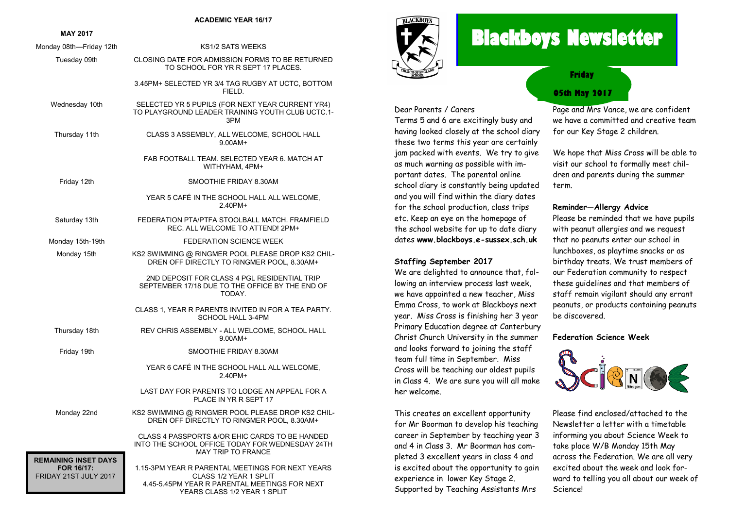#### **ACADEMIC YEAR 16/17**

#### **MAY 2017**

| Monday 08th-Friday 12th                                                   | <b>KS1/2 SATS WEEKS</b>                                                                                                                                     |
|---------------------------------------------------------------------------|-------------------------------------------------------------------------------------------------------------------------------------------------------------|
| Tuesday 09th                                                              | CLOSING DATE FOR ADMISSION FORMS TO BE RETURNED<br>TO SCHOOL FOR YR R SEPT 17 PLACES.                                                                       |
|                                                                           | 3.45PM+ SELECTED YR 3/4 TAG RUGBY AT UCTC, BOTTOM<br>FIELD.                                                                                                 |
| Wednesday 10th                                                            | SELECTED YR 5 PUPILS (FOR NEXT YEAR CURRENT YR4)<br>TO PLAYGROUND LEADER TRAINING YOUTH CLUB UCTC.1-<br>3PM                                                 |
| Thursday 11th                                                             | CLASS 3 ASSEMBLY, ALL WELCOME, SCHOOL HALL<br>$9.00$ AM+                                                                                                    |
|                                                                           | FAB FOOTBALL TEAM. SELECTED YEAR 6. MATCH AT<br>WITHYHAM, 4PM+                                                                                              |
| Friday 12th                                                               | SMOOTHIE FRIDAY 8.30AM                                                                                                                                      |
|                                                                           | YEAR 5 CAFÉ IN THE SCHOOL HALL ALL WELCOME,<br>2.40PM+                                                                                                      |
| Saturday 13th                                                             | FEDERATION PTA/PTFA STOOLBALL MATCH, FRAMFIELD<br>REC. ALL WELCOME TO ATTEND! 2PM+                                                                          |
| Monday 15th-19th                                                          | <b>FEDERATION SCIENCE WEEK</b>                                                                                                                              |
| Monday 15th                                                               | KS2 SWIMMING @ RINGMER POOL PLEASE DROP KS2 CHIL-<br>DREN OFF DIRECTLY TO RINGMER POOL, 8.30AM+                                                             |
|                                                                           | 2ND DEPOSIT FOR CLASS 4 PGL RESIDENTIAL TRIP<br>SEPTEMBER 17/18 DUE TO THE OFFICE BY THE END OF<br>TODAY.                                                   |
|                                                                           | CLASS 1, YEAR R PARENTS INVITED IN FOR A TEA PARTY.<br><b>SCHOOL HALL 3-4PM</b>                                                                             |
| Thursday 18th                                                             | REV CHRIS ASSEMBLY - ALL WELCOME, SCHOOL HALL<br>$9.00AM +$                                                                                                 |
| Friday 19th                                                               | SMOOTHIE FRIDAY 8.30AM                                                                                                                                      |
|                                                                           | YEAR 6 CAFÉ IN THE SCHOOL HALL ALL WELCOME,<br>2.40PM+                                                                                                      |
|                                                                           | LAST DAY FOR PARENTS TO LODGE AN APPEAL FOR A<br>PLACE IN YR R SEPT 17                                                                                      |
| Monday 22nd                                                               | KS2 SWIMMING @ RINGMER POOL PLEASE DROP KS2 CHIL-<br>DREN OFF DIRECTLY TO RINGMER POOL, 8.30AM+                                                             |
|                                                                           | CLASS 4 PASSPORTS &/OR EHIC CARDS TO BE HANDED<br>INTO THE SCHOOL OFFICE TODAY FOR WEDNESDAY 24TH<br><b>MAY TRIP TO FRANCE</b>                              |
| <b>REMAINING INSET DAYS</b><br><b>FOR 16/17:</b><br>FRIDAY 21ST JULY 2017 | 1.15-3PM YEAR R PARENTAL MEETINGS FOR NEXT YEARS<br>CLASS 1/2 YEAR 1 SPLIT<br>4.45-5.45PM YEAR R PARENTAL MEETINGS FOR NEXT<br>YEARS CLASS 1/2 YEAR 1 SPLIT |



Dear Parents / Carers

**Staffing September 2017**

her welcome.

We are delighted to announce that, following an interview process last week, we have appointed a new teacher, Miss Emma Cross, to work at Blackboys next year. Miss Cross is finishing her 3 year Primary Education degree at Canterbury Christ Church University in the summer and looks forward to joining the staff team full time in September. Miss Cross will be teaching our oldest pupils in Class 4. We are sure you will all make

This creates an excellent opportunity for Mr Boorman to develop his teaching career in September by teaching year 3 and 4 in Class 3. Mr Boorman has completed 3 excellent years in class 4 and is excited about the opportunity to gain experience in lower Key Stage 2. Supported by Teaching Assistants Mrs

# **Blackboys Newsletter**

**Friday**

### **05th May 2017**

Page and Mrs Vance, we are confident we have a committed and creative team for our Key Stage 2 children.

We hope that Miss Cross will be able to visit our school to formally meet children and parents during the summer term.

#### **Reminder—Allergy Advice**

Please be reminded that we have pupils with peanut allergies and we request that no peanuts enter our school in lunchboxes, as playtime snacks or as birthday treats. We trust members of our Federation community to respect these guidelines and that members of staff remain vigilant should any errant peanuts, or products containing peanuts be discovered.

#### **Federation Science Week**



Please find enclosed/attached to the Newsletter a letter with a timetable informing you about Science Week to take place W/B Monday 15th May across the Federation. We are all very excited about the week and look forward to telling you all about our week of Science!

Terms 5 and 6 are excitingly busy and having looked closely at the school diary these two terms this year are certainly jam packed with events. We try to give as much warning as possible with important dates. The parental online school diary is constantly being updated and you will find within the diary dates for the school production, class trips etc. Keep an eye on the homepage of the school website for up to date diary dates **www.blackboys.e-sussex.sch.uk**